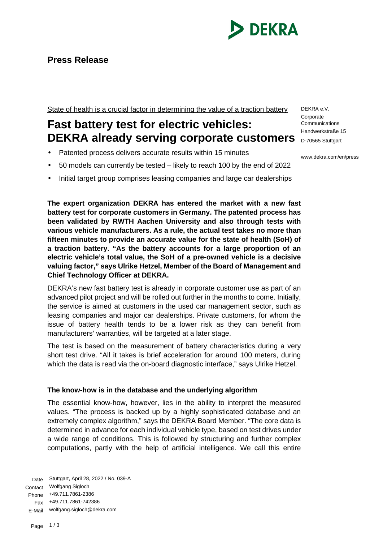

## **Press Release**

State of health is a crucial factor in determining the value of a traction battery

# **Fast battery test for electric vehicles: DEKRA already serving corporate customers D-70565 Stuttgart**

- Patented process delivers accurate results within 15 minutes
- 50 models can currently be tested likely to reach 100 by the end of 2022
- Initial target group comprises leasing companies and large car dealerships

**The expert organization DEKRA has entered the market with a new fast battery test for corporate customers in Germany. The patented process has been validated by RWTH Aachen University and also through tests with various vehicle manufacturers. As a rule, the actual test takes no more than fifteen minutes to provide an accurate value for the state of health (SoH) of a traction battery. "As the battery accounts for a large proportion of an electric vehicle's total value, the SoH of a pre-owned vehicle is a decisive valuing factor," says Ulrike Hetzel, Member of the Board of Management and Chief Technology Officer at DEKRA.**

DEKRA's new fast battery test is already in corporate customer use as part of an advanced pilot project and will be rolled out further in the months to come. Initially, the service is aimed at customers in the used car management sector, such as leasing companies and major car dealerships. Private customers, for whom the issue of battery health tends to be a lower risk as they can benefit from manufacturers' warranties, will be targeted at a later stage.

The test is based on the measurement of battery characteristics during a very short test drive. "All it takes is brief acceleration for around 100 meters, during which the data is read via the on-board diagnostic interface," says Ulrike Hetzel.

### **The know-how is in the database and the underlying algorithm**

The essential know-how, however, lies in the ability to interpret the measured values. "The process is backed up by a highly sophisticated database and an extremely complex algorithm," says the DEKRA Board Member. "The core data is determined in advance for each individual vehicle type, based on test drives under a wide range of conditions. This is followed by structuring and further complex computations, partly with the help of artificial intelligence. We call this entire

Date Stuttgart, April 28, 2022 / No. 039-A Contact Wolfgang Sigloch Phone +49.711.7861-2386 Fax +49.711.7861-742386 E-Mail wolfgang.sigloch@dekra.com

DEKRA e.V. **Corporate Communications** Handwerkstraße 15

www.dekra.com/en/press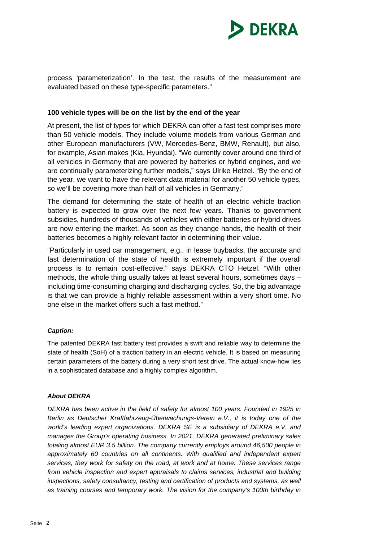

process 'parameterization'. In the test, the results of the measurement are evaluated based on these type-specific parameters."

#### **100 vehicle types will be on the list by the end of the year**

At present, the list of types for which DEKRA can offer a fast test comprises more than 50 vehicle models. They include volume models from various German and other European manufacturers (VW, Mercedes-Benz, BMW, Renault), but also, for example, Asian makes (Kia, Hyundai). "We currently cover around one third of all vehicles in Germany that are powered by batteries or hybrid engines, and we are continually parameterizing further models," says Ulrike Hetzel. "By the end of the year, we want to have the relevant data material for another 50 vehicle types, so we'll be covering more than half of all vehicles in Germany."

The demand for determining the state of health of an electric vehicle traction battery is expected to grow over the next few years. Thanks to government subsidies, hundreds of thousands of vehicles with either batteries or hybrid drives are now entering the market. As soon as they change hands, the health of their batteries becomes a highly relevant factor in determining their value.

"Particularly in used car management, e.g., in lease buybacks, the accurate and fast determination of the state of health is extremely important if the overall process is to remain cost-effective," says DEKRA CTO Hetzel. "With other methods, the whole thing usually takes at least several hours, sometimes days – including time-consuming charging and discharging cycles. So, the big advantage is that we can provide a highly reliable assessment within a very short time. No one else in the market offers such a fast method."

#### *Caption:*

The patented DEKRA fast battery test provides a swift and reliable way to determine the state of health (SoH) of a traction battery in an electric vehicle. It is based on measuring certain parameters of the battery during a very short test drive. The actual know-how lies in a sophisticated database and a highly complex algorithm.

#### *About DEKRA*

*DEKRA has been active in the field of safety for almost 100 years. Founded in 1925 in Berlin as Deutscher Kraftfahrzeug-Überwachungs-Verein e.V., it is today one of the world's leading expert organizations. DEKRA SE is a subsidiary of DEKRA e.V. and manages the Group's operating business. In 2021, DEKRA generated preliminary sales totaling almost EUR 3.5 billion. The company currently employs around 46,500 people in*  approximately 60 countries on all continents. With qualified and independent expert *services, they work for safety on the road, at work and at home. These services range from vehicle inspection and expert appraisals to claims services, industrial and building*  inspections, safety consultancy, testing and certification of products and systems, as well *as training courses and temporary work. The vision for the company's 100th birthday in*